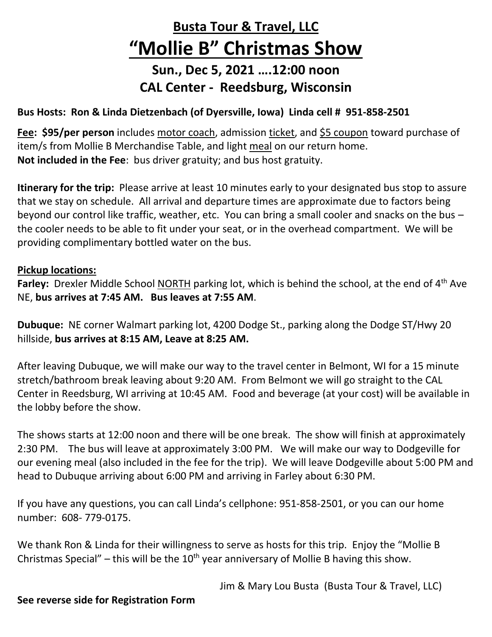## **Busta Tour & Travel, LLC "Mollie B" Christmas Show**

## **Sun., Dec 5, 2021 ….12:00 noon CAL Center - Reedsburg, Wisconsin**

## **Bus Hosts: Ron & Linda Dietzenbach (of Dyersville, Iowa) Linda cell # 951-858-2501**

**Fee: \$95/per person** includes motor coach, admission ticket, and \$5 coupon toward purchase of item/s from Mollie B Merchandise Table, and light meal on our return home. **Not included in the Fee**: bus driver gratuity; and bus host gratuity.

**Itinerary for the trip:** Please arrive at least 10 minutes early to your designated bus stop to assure that we stay on schedule. All arrival and departure times are approximate due to factors being beyond our control like traffic, weather, etc. You can bring a small cooler and snacks on the bus – the cooler needs to be able to fit under your seat, or in the overhead compartment. We will be providing complimentary bottled water on the bus.

## **Pickup locations:**

**Farley:** Drexler Middle School NORTH parking lot, which is behind the school, at the end of 4<sup>th</sup> Ave NE, **bus arrives at 7:45 AM. Bus leaves at 7:55 AM**.

**Dubuque:** NE corner Walmart parking lot, 4200 Dodge St., parking along the Dodge ST/Hwy 20 hillside, **bus arrives at 8:15 AM, Leave at 8:25 AM.**

After leaving Dubuque, we will make our way to the travel center in Belmont, WI for a 15 minute stretch/bathroom break leaving about 9:20 AM. From Belmont we will go straight to the CAL Center in Reedsburg, WI arriving at 10:45 AM. Food and beverage (at your cost) will be available in the lobby before the show.

The shows starts at 12:00 noon and there will be one break. The show will finish at approximately 2:30 PM. The bus will leave at approximately 3:00 PM. We will make our way to Dodgeville for our evening meal (also included in the fee for the trip). We will leave Dodgeville about 5:00 PM and head to Dubuque arriving about 6:00 PM and arriving in Farley about 6:30 PM.

If you have any questions, you can call Linda's cellphone: 951-858-2501, or you can our home number: 608- 779-0175.

We thank Ron & Linda for their willingness to serve as hosts for this trip. Enjoy the "Mollie B Christmas Special" – this will be the  $10^{th}$  year anniversary of Mollie B having this show.

Jim & Mary Lou Busta (Busta Tour & Travel, LLC)